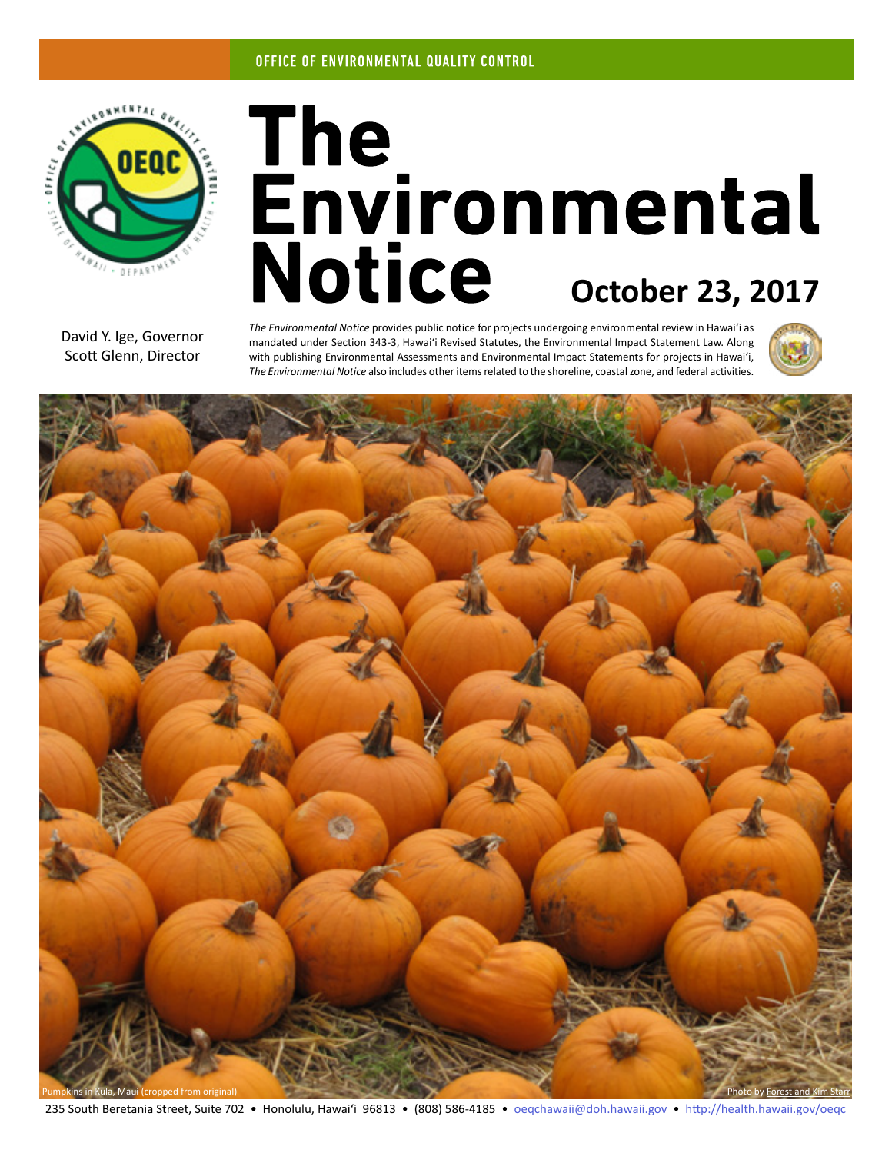

# The<br>Environmental **Notice October 23, 2017**

David Y. Ige, Governor Scott Glenn, Director

*The Environmental Notice* provides public notice for projects undergoing environmental review in Hawaiʻi as mandated under Section 343-3, Hawaiʻi Revised Statutes, the Environmental Impact Statement Law. Along with publishing Environmental Assessments and Environmental Impact Statements for projects in Hawaiʻi, *The Environmental Notice* also includes other items related to the shoreline, coastal zone, and federal activities.





235 South Beretania Street, Suite 702 • Honolulu, Hawai'i 96813 • (808) 586-4185 • [oeqchawaii@doh.hawaii.gov](mailto:oeqchawaii%40doh.hawaii.gov?subject=) • <http://health.hawaii.gov/oeqc>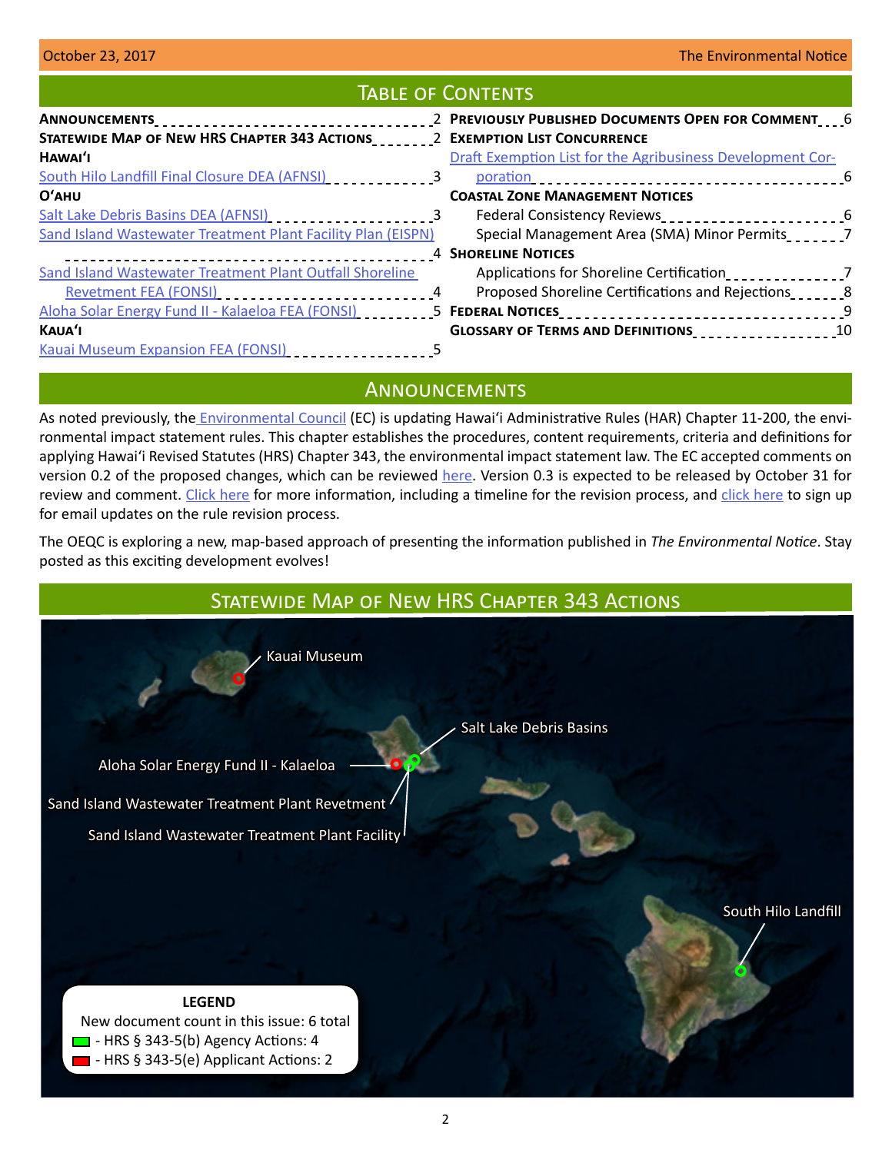## Table of Contents

| Draft Exemption List for the Agribusiness Development Cor-   |
|--------------------------------------------------------------|
|                                                              |
|                                                              |
| Federal Consistency Reviews________________________________6 |
| Special Management Area (SMA) Minor Permits_______7          |
|                                                              |
| Applications for Shoreline Certification                     |
| Proposed Shoreline Certifications and Rejections             |
|                                                              |
| GLOSSARY OF TERMS AND DEFINITIONS<br>10                      |
|                                                              |
|                                                              |

# **ANNOUNCEMENTS**

As noted previously, the [Environmental Council](http://health.hawaii.gov/oeqc/environmental-council/) (EC) is updating Hawaiʻi Administrative Rules (HAR) Chapter 11-200, the environmental impact statement rules. This chapter establishes the procedures, content requirements, criteria and definitions for applying Hawaiʻi Revised Statutes (HRS) Chapter 343, the environmental impact statement law. The EC accepted comments on version 0.2 of the proposed changes, which can be reviewed [here](https://oeqc.civicomment.org/). Version 0.3 is expected to be released by October 31 for review and comment. [Click here](http://health.hawaii.gov/oeqc/rules-update/) for more information, including a timeline for the revision process, and [click here](http://eepurl.com/cYjIuL) to sign up for email updates on the rule revision process.

The OEQC is exploring a new, map-based approach of presenting the information published in *The Environmental Notice*. Stay posted as this exciting development evolves!

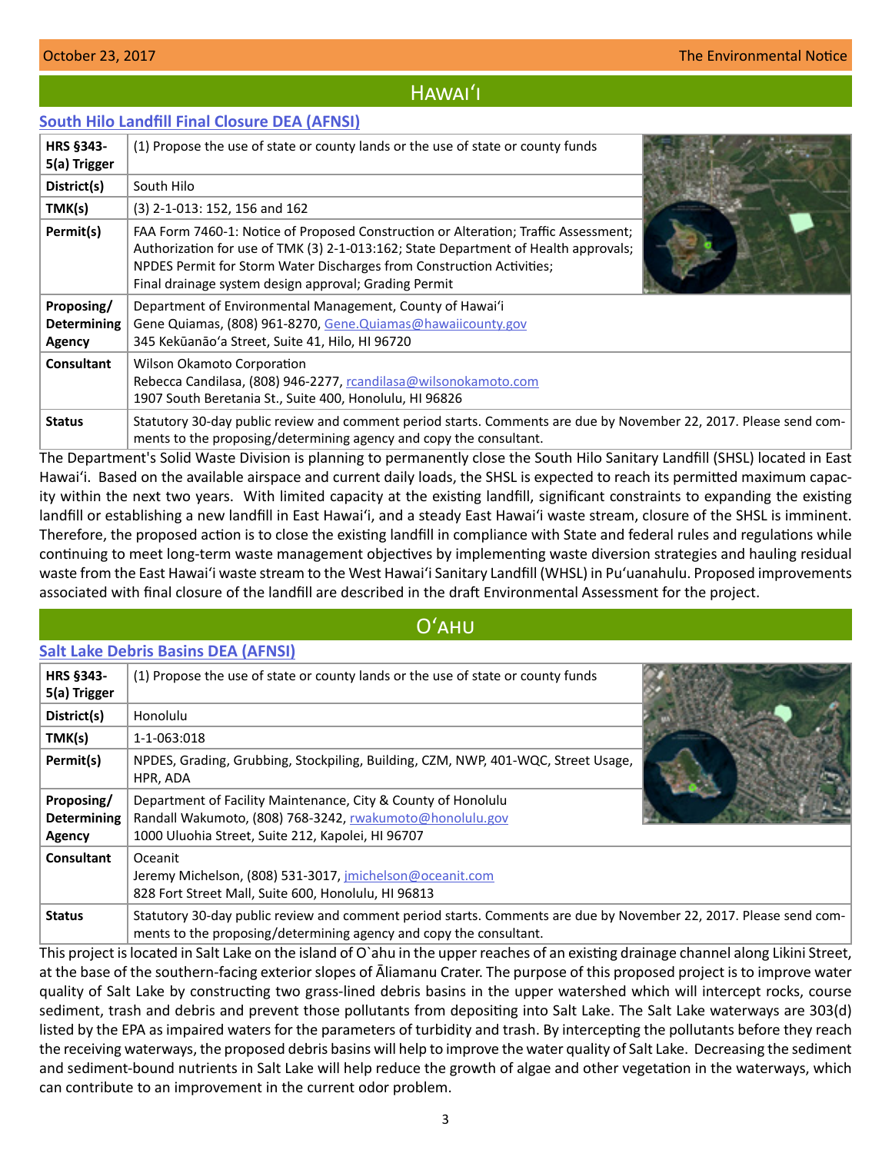# Hawaiʻi

## <span id="page-2-0"></span>**[South Hilo Landfill Final Closure DEA \(AFNSI\)](http://oeqc2.doh.hawaii.gov/EA_EIS_Library/2017-10-23-HA-DEA-South-Hilo-Landfill-Final-Closure.pdf)**

| <b>HRS §343-</b><br>5(a) Trigger           | (1) Propose the use of state or county lands or the use of state or county funds                                                                                                                                                                                                                             |  |
|--------------------------------------------|--------------------------------------------------------------------------------------------------------------------------------------------------------------------------------------------------------------------------------------------------------------------------------------------------------------|--|
| District(s)                                | South Hilo                                                                                                                                                                                                                                                                                                   |  |
| TMK(s)                                     | (3) 2-1-013: 152, 156 and 162                                                                                                                                                                                                                                                                                |  |
| Permit(s)                                  | FAA Form 7460-1: Notice of Proposed Construction or Alteration; Traffic Assessment;<br>Authorization for use of TMK (3) 2-1-013:162; State Department of Health approvals;<br>NPDES Permit for Storm Water Discharges from Construction Activities;<br>Final drainage system design approval; Grading Permit |  |
| Proposing/<br><b>Determining</b><br>Agency | Department of Environmental Management, County of Hawai'i<br>Gene Quiamas, (808) 961-8270, Gene. Quiamas@hawaiicounty.gov<br>345 Kekūanāo'a Street, Suite 41, Hilo, HI 96720                                                                                                                                 |  |
| <b>Consultant</b>                          | Wilson Okamoto Corporation<br>Rebecca Candilasa, (808) 946-2277, rcandilasa@wilsonokamoto.com<br>1907 South Beretania St., Suite 400, Honolulu, HI 96826                                                                                                                                                     |  |
| <b>Status</b>                              | Statutory 30-day public review and comment period starts. Comments are due by November 22, 2017. Please send com-<br>ments to the proposing/determining agency and copy the consultant.                                                                                                                      |  |

The Department's Solid Waste Division is planning to permanently close the South Hilo Sanitary Landfill (SHSL) located in East Hawaiʻi. Based on the available airspace and current daily loads, the SHSL is expected to reach its permitted maximum capacity within the next two years. With limited capacity at the existing landfill, significant constraints to expanding the existing landfill or establishing a new landfill in East Hawaiʻi, and a steady East Hawaiʻi waste stream, closure of the SHSL is imminent. Therefore, the proposed action is to close the existing landfill in compliance with State and federal rules and regulations while continuing to meet long-term waste management objectives by implementing waste diversion strategies and hauling residual waste from the East Hawaiʻi waste stream to the West Hawaiʻi Sanitary Landfill (WHSL) in Puʻuanahulu. Proposed improvements associated with final closure of the landfill are described in the draft Environmental Assessment for the project.

# Oʻahu

## **[Salt Lake Debris Basins DEA \(AFNSI\)](http://oeqc2.doh.hawaii.gov/EA_EIS_Library/2017-10-23-OA-DEA-Salt-Lake-Debris-Basins.pdf)**

| <b>HRS §343-</b><br>5(a) Trigger           | (1) Propose the use of state or county lands or the use of state or county funds                                                                                                        |  |
|--------------------------------------------|-----------------------------------------------------------------------------------------------------------------------------------------------------------------------------------------|--|
| District(s)                                | Honolulu                                                                                                                                                                                |  |
| TMK(s)                                     | 1-1-063:018                                                                                                                                                                             |  |
| Permit(s)                                  | NPDES, Grading, Grubbing, Stockpiling, Building, CZM, NWP, 401-WQC, Street Usage,<br>HPR. ADA                                                                                           |  |
| Proposing/<br><b>Determining</b><br>Agency | Department of Facility Maintenance, City & County of Honolulu<br>Randall Wakumoto, (808) 768-3242, rwakumoto@honolulu.gov<br>1000 Uluohia Street, Suite 212, Kapolei, HI 96707          |  |
| <b>Consultant</b>                          | Oceanit<br>Jeremy Michelson, (808) 531-3017, jmichelson@oceanit.com<br>828 Fort Street Mall, Suite 600, Honolulu, HI 96813                                                              |  |
| <b>Status</b>                              | Statutory 30-day public review and comment period starts. Comments are due by November 22, 2017. Please send com-<br>ments to the proposing/determining agency and copy the consultant. |  |

This project is located in Salt Lake on the island of O`ahu in the upper reaches of an existing drainage channel along Likini Street, at the base of the southern-facing exterior slopes of Āliamanu Crater. The purpose of this proposed project is to improve water quality of Salt Lake by constructing two grass-lined debris basins in the upper watershed which will intercept rocks, course sediment, trash and debris and prevent those pollutants from depositing into Salt Lake. The Salt Lake waterways are 303(d) listed by the EPA as impaired waters for the parameters of turbidity and trash. By intercepting the pollutants before they reach the receiving waterways, the proposed debris basins will help to improve the water quality of Salt Lake. Decreasing the sediment and sediment-bound nutrients in Salt Lake will help reduce the growth of algae and other vegetation in the waterways, which can contribute to an improvement in the current odor problem.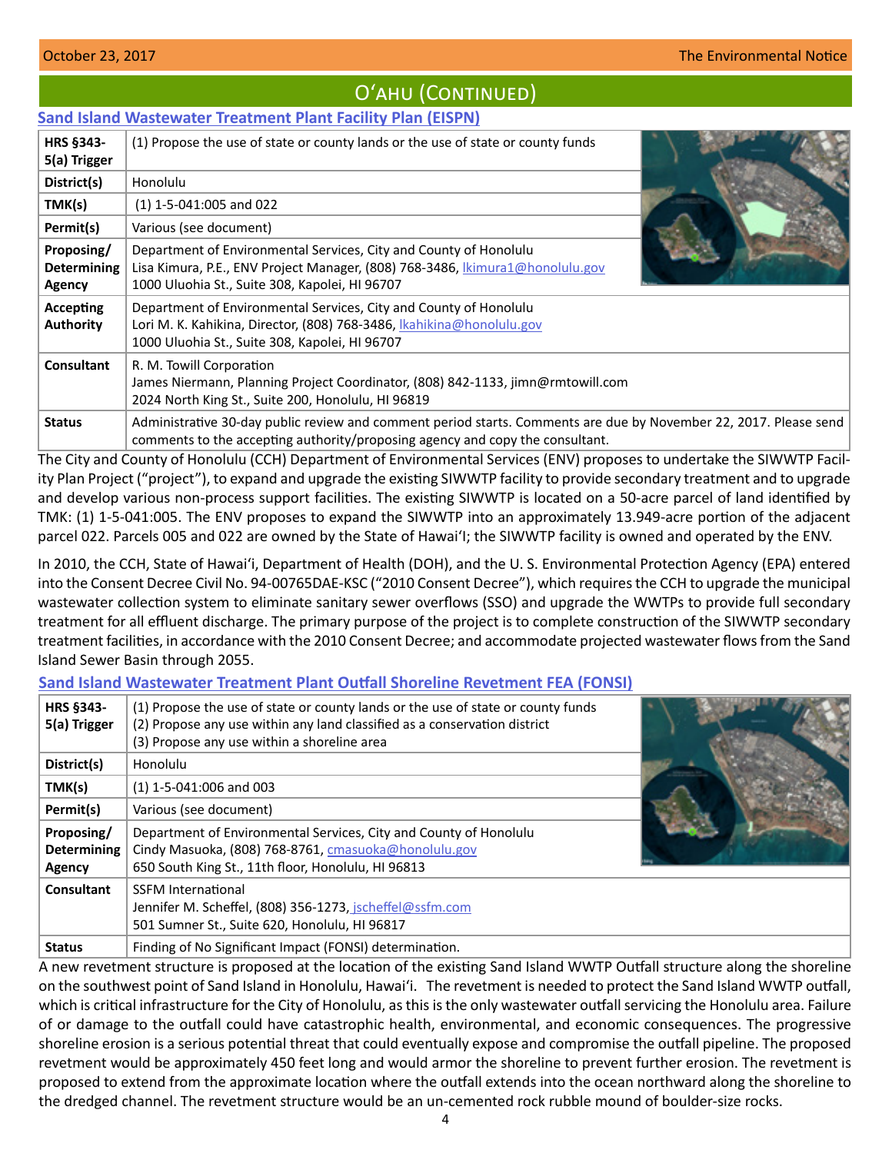# Oʻahu (Continued)

## <span id="page-3-0"></span>**[Sand Island Wastewater Treatment Plant Facility Plan \(EISPN\)](http://oeqc2.doh.hawaii.gov/EA_EIS_Library/2017-10-23-OA-EISPN-Sand-Island-Wastewater-Treatment-Plant-Facility-Plan.pdf)**

| HRS §343-<br>5(a) Trigger                         | (1) Propose the use of state or county lands or the use of state or county funds                                                                                                                    |  |
|---------------------------------------------------|-----------------------------------------------------------------------------------------------------------------------------------------------------------------------------------------------------|--|
| District(s)                                       | Honolulu                                                                                                                                                                                            |  |
| TMK(s)                                            | $(1)$ 1-5-041:005 and 022                                                                                                                                                                           |  |
| Permit(s)                                         | Various (see document)                                                                                                                                                                              |  |
| Proposing/<br><b>Determining</b><br><b>Agency</b> | Department of Environmental Services, City and County of Honolulu<br>Lisa Kimura, P.E., ENV Project Manager, (808) 768-3486, kimura1@honolulu.gov<br>1000 Uluohia St., Suite 308, Kapolei, HI 96707 |  |
| <b>Accepting</b><br><b>Authority</b>              | Department of Environmental Services, City and County of Honolulu<br>Lori M. K. Kahikina, Director, (808) 768-3486, Kahikina@honolulu.gov<br>1000 Uluohia St., Suite 308, Kapolei, HI 96707         |  |
| Consultant                                        | R. M. Towill Corporation<br>James Niermann, Planning Project Coordinator, (808) 842-1133, jimn@rmtowill.com<br>2024 North King St., Suite 200, Honolulu, HI 96819                                   |  |
| <b>Status</b>                                     | Administrative 30-day public review and comment period starts. Comments are due by November 22, 2017. Please send<br>comments to the accepting authority/proposing agency and copy the consultant.  |  |

The City and County of Honolulu (CCH) Department of Environmental Services (ENV) proposes to undertake the SIWWTP Facility Plan Project ("project"), to expand and upgrade the existing SIWWTP facility to provide secondary treatment and to upgrade and develop various non-process support facilities. The existing SIWWTP is located on a 50-acre parcel of land identified by TMK: (1) 1-5-041:005. The ENV proposes to expand the SIWWTP into an approximately 13.949-acre portion of the adjacent parcel 022. Parcels 005 and 022 are owned by the State of Hawai'I; the SIWWTP facility is owned and operated by the ENV.

In 2010, the CCH, State of Hawai'i, Department of Health (DOH), and the U. S. Environmental Protection Agency (EPA) entered into the Consent Decree Civil No. 94-00765DAE-KSC ("2010 Consent Decree"), which requires the CCH to upgrade the municipal wastewater collection system to eliminate sanitary sewer overflows (SSO) and upgrade the WWTPs to provide full secondary treatment for all effluent discharge. The primary purpose of the project is to complete construction of the SIWWTP secondary treatment facilities, in accordance with the 2010 Consent Decree; and accommodate projected wastewater flows from the Sand Island Sewer Basin through 2055.

## **[Sand Island Wastewater Treatment Plant Outfall Shoreline Revetment FEA \(FONSI\)](http://oeqc2.doh.hawaii.gov/EA_EIS_Library/2017-10-23-OA-FEA-Sand-Island-Shoreline-Revetment.pdf)**

| HRS §343-<br>5(a) Trigger                  | (1) Propose the use of state or county lands or the use of state or county funds<br>(2) Propose any use within any land classified as a conservation district<br>(3) Propose any use within a shoreline area |  |
|--------------------------------------------|--------------------------------------------------------------------------------------------------------------------------------------------------------------------------------------------------------------|--|
| District(s)                                | Honolulu                                                                                                                                                                                                     |  |
| TMK(s)                                     | $(1)$ 1-5-041:006 and 003                                                                                                                                                                                    |  |
| Permit(s)                                  | Various (see document)                                                                                                                                                                                       |  |
| Proposing/<br><b>Determining</b><br>Agency | Department of Environmental Services, City and County of Honolulu<br>Cindy Masuoka, (808) 768-8761, cmasuoka@honolulu.gov<br>650 South King St., 11th floor, Honolulu, HI 96813                              |  |
| Consultant                                 | <b>SSFM International</b><br>Jennifer M. Scheffel, (808) 356-1273, jscheffel@ssfm.com<br>501 Sumner St., Suite 620, Honolulu, HI 96817                                                                       |  |
| <b>Status</b>                              | Finding of No Significant Impact (FONSI) determination.                                                                                                                                                      |  |

A new revetment structure is proposed at the location of the existing Sand Island WWTP Outfall structure along the shoreline on the southwest point of Sand Island in Honolulu, Hawaiʻi. The revetment is needed to protect the Sand Island WWTP outfall, which is critical infrastructure for the City of Honolulu, as this is the only wastewater outfall servicing the Honolulu area. Failure of or damage to the outfall could have catastrophic health, environmental, and economic consequences. The progressive shoreline erosion is a serious potential threat that could eventually expose and compromise the outfall pipeline. The proposed revetment would be approximately 450 feet long and would armor the shoreline to prevent further erosion. The revetment is proposed to extend from the approximate location where the outfall extends into the ocean northward along the shoreline to the dredged channel. The revetment structure would be an un-cemented rock rubble mound of boulder-size rocks.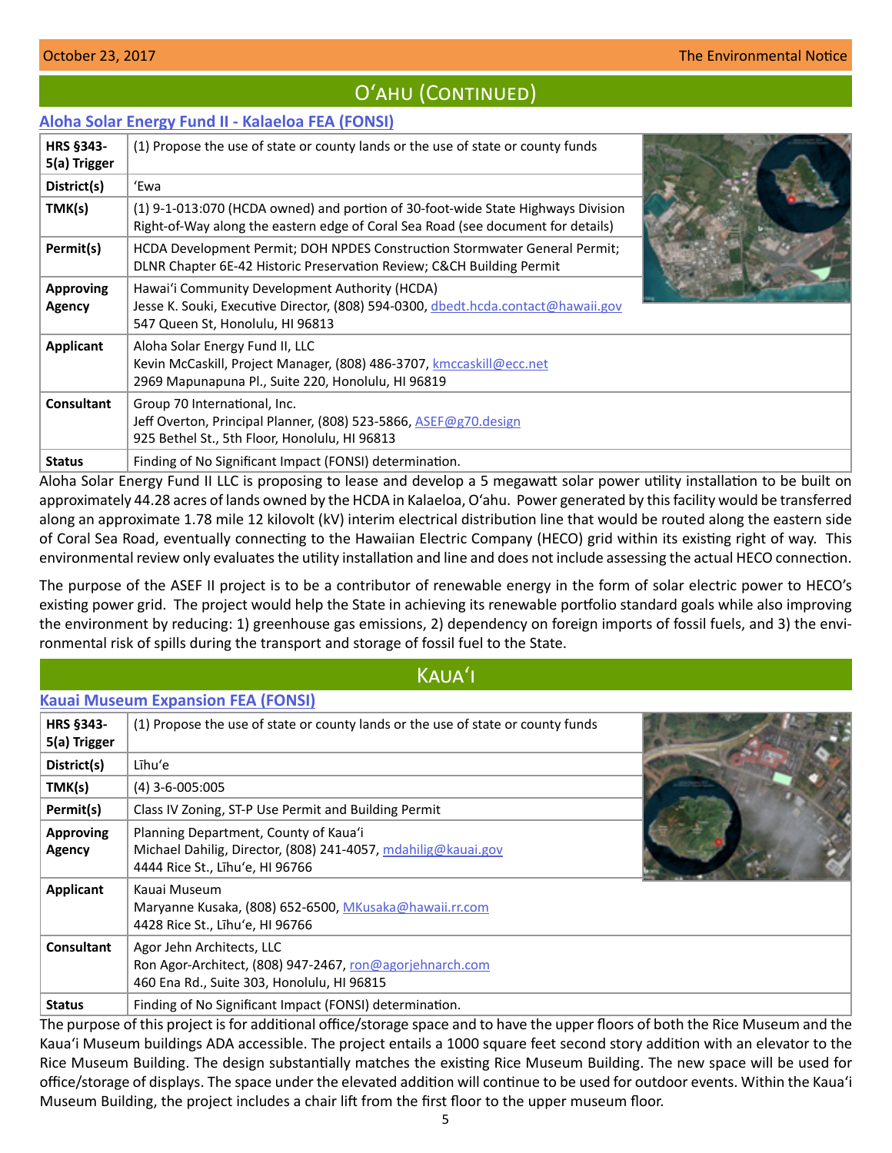# O'AHU (CONTINUED)

## <span id="page-4-0"></span>**[Aloha Solar Energy Fund II - Kalaeloa FEA \(FONSI\)](http://oeqc2.doh.hawaii.gov/EA_EIS_Library/2017-10-23-OA-FEA-Aloha-Solar-Energy-Fund-II-Kalaeloa.pdf)**

| <b>HRS §343-</b><br>5(a) Trigger | (1) Propose the use of state or county lands or the use of state or county funds                                                                                        |  |
|----------------------------------|-------------------------------------------------------------------------------------------------------------------------------------------------------------------------|--|
| District(s)                      | 'Ewa                                                                                                                                                                    |  |
| TMK(s)                           | (1) 9-1-013:070 (HCDA owned) and portion of 30-foot-wide State Highways Division<br>Right-of-Way along the eastern edge of Coral Sea Road (see document for details)    |  |
| Permit(s)                        | HCDA Development Permit; DOH NPDES Construction Stormwater General Permit;<br>DLNR Chapter 6E-42 Historic Preservation Review; C&CH Building Permit                     |  |
| <b>Approving</b><br>Agency       | Hawai'i Community Development Authority (HCDA)<br>Jesse K. Souki, Executive Director, (808) 594-0300, dbedt.hcda.contact@hawaii.gov<br>547 Queen St, Honolulu, HI 96813 |  |
| Applicant                        | Aloha Solar Energy Fund II, LLC<br>Kevin McCaskill, Project Manager, (808) 486-3707, kmccaskill@ecc.net<br>2969 Mapunapuna Pl., Suite 220, Honolulu, HI 96819           |  |
| <b>Consultant</b>                | Group 70 International, Inc.<br>Jeff Overton, Principal Planner, (808) 523-5866, ASEF@g70.design<br>925 Bethel St., 5th Floor, Honolulu, HI 96813                       |  |
| <b>Status</b>                    | Finding of No Significant Impact (FONSI) determination.                                                                                                                 |  |

Aloha Solar Energy Fund II LLC is proposing to lease and develop a 5 megawatt solar power utility installation to be built on approximately 44.28 acres of lands owned by the HCDA in Kalaeloa, O'ahu. Power generated by this facility would be transferred along an approximate 1.78 mile 12 kilovolt (kV) interim electrical distribution line that would be routed along the eastern side of Coral Sea Road, eventually connecting to the Hawaiian Electric Company (HECO) grid within its existing right of way. This environmental review only evaluates the utility installation and line and does not include assessing the actual HECO connection.

The purpose of the ASEF II project is to be a contributor of renewable energy in the form of solar electric power to HECO's existing power grid. The project would help the State in achieving its renewable portfolio standard goals while also improving the environment by reducing: 1) greenhouse gas emissions, 2) dependency on foreign imports of fossil fuels, and 3) the environmental risk of spills during the transport and storage of fossil fuel to the State.

# Kauaʻi

## **[Kauai Museum Expansion FEA \(FONSI\)](http://oeqc2.doh.hawaii.gov/EA_EIS_Library/2017-10-23-KA-FEA-Kauai-Museum-Expansion.pdf)**

| <b>HRS §343-</b><br>5(a) Trigger  | (1) Propose the use of state or county lands or the use of state or county funds                                                          |  |
|-----------------------------------|-------------------------------------------------------------------------------------------------------------------------------------------|--|
| District(s)                       | Līhu'e                                                                                                                                    |  |
| TMK(s)                            | $(4)$ 3-6-005:005                                                                                                                         |  |
| Permit(s)                         | Class IV Zoning, ST-P Use Permit and Building Permit                                                                                      |  |
| <b>Approving</b><br><b>Agency</b> | Planning Department, County of Kaua'i<br>Michael Dahilig, Director, (808) 241-4057, mdahilig@kauai.gov<br>4444 Rice St., Lihu'e, HI 96766 |  |
| <b>Applicant</b>                  | Kauai Museum<br>Maryanne Kusaka, (808) 652-6500, MKusaka@hawaii.rr.com<br>4428 Rice St., Lihu'e, HI 96766                                 |  |
| <b>Consultant</b>                 | Agor Jehn Architects, LLC<br>Ron Agor-Architect, (808) 947-2467, ron@agorjehnarch.com<br>460 Ena Rd., Suite 303, Honolulu, HI 96815       |  |
| <b>Status</b>                     | Finding of No Significant Impact (FONSI) determination.                                                                                   |  |

The purpose of this project is for additional office/storage space and to have the upper floors of both the Rice Museum and the Kauaʻi Museum buildings ADA accessible. The project entails a 1000 square feet second story addition with an elevator to the Rice Museum Building. The design substantially matches the existing Rice Museum Building. The new space will be used for office/storage of displays. The space under the elevated addition will continue to be used for outdoor events. Within the Kauaʻi Museum Building, the project includes a chair lift from the first floor to the upper museum floor.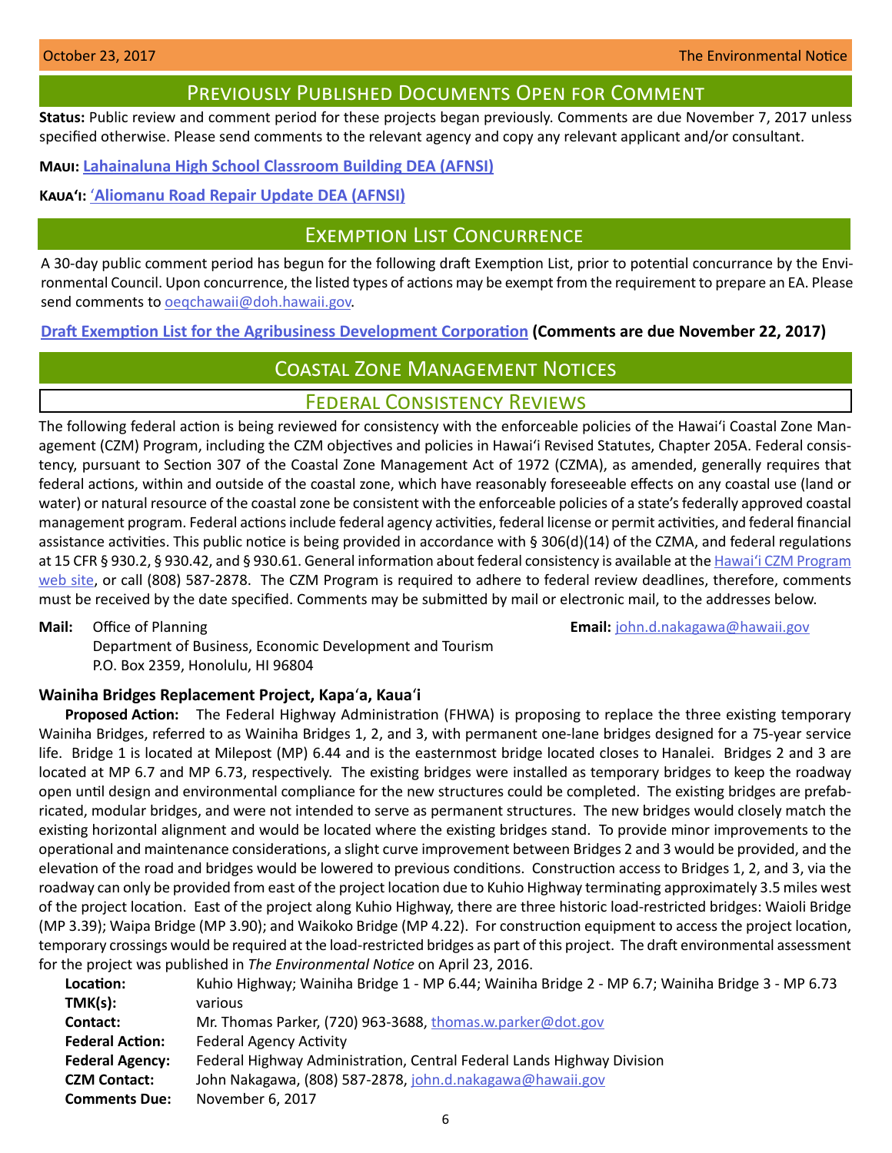## Previously Published Documents Open for Comment

<span id="page-5-0"></span>**Status:** Public review and comment period for these projects began previously. Comments are due November 7, 2017 unless specified otherwise. Please send comments to the relevant agency and copy any relevant applicant and/or consultant.

**Maui: [Lahainaluna High School Classroom Building DEA \(AFNSI\)](http://oeqc2.doh.hawaii.gov/EA_EIS_Library/2017-10-08-MA-DEA-Lahainaluna-High-Classroom-Building.pdf)**

## **Kauaʻi:** ʻ**[Aliomanu Road Repair Update DEA \(AFNSI\)](http://oeqc2.doh.hawaii.gov/EA_EIS_Library/2017-10-08-KA-DEA-Aliomanu-Road-Repair-Update.pdf)**

# Exemption List Concurrence

A 30-day public comment period has begun for the following draft Exemption List, prior to potential concurrance by the Environmental Council. Upon concurrence, the listed types of actions may be exempt from the requirement to prepare an EA. Please send comments to oegchawaii@doh.hawaii.gov.

**[Draft Exemption List for the Agribusiness Development Corporation](http://oeqc2.doh.hawaii.gov/Agency_Exemption_Lists/State-Department-of-Agriculture-Agribusiness-Development-Corp-Exemption-List-2017-10-23-Public-Review.pdf) (Comments are due November 22, 2017)**

# Coastal Zone Management Notices

## Federal Consistency Reviews

The following federal action is being reviewed for consistency with the enforceable policies of the Hawaiʻi Coastal Zone Management (CZM) Program, including the CZM objectives and policies in Hawaiʻi Revised Statutes, Chapter 205A. Federal consistency, pursuant to Section 307 of the Coastal Zone Management Act of 1972 (CZMA), as amended, generally requires that federal actions, within and outside of the coastal zone, which have reasonably foreseeable effects on any coastal use (land or water) or natural resource of the coastal zone be consistent with the enforceable policies of a state's federally approved coastal management program. Federal actions include federal agency activities, federal license or permit activities, and federal financial assistance activities. This public notice is being provided in accordance with § 306(d)(14) of the CZMA, and federal regulations at 15 CFR § 930.2, § 930.42, and § 930.61. General information about federal consistency is available at the Hawai'i CZM Program [web site](http://planning.hawaii.gov/czm/federal-consistency/), or call (808) 587-2878. The CZM Program is required to adhere to federal review deadlines, therefore, comments must be received by the date specified. Comments may be submitted by mail or electronic mail, to the addresses below.

**Mail:** Office of Planning **Email:** [john.d.nakagawa@hawaii.gov](mailto:john.d.nakagawa@hawaii.gov)

Department of Business, Economic Development and Tourism P.O. Box 2359, Honolulu, HI 96804

## **Wainiha Bridges Replacement Project, Kapa**ʻ**a, Kaua**ʻ**i**

**Proposed Action:** The Federal Highway Administration (FHWA) is proposing to replace the three existing temporary Wainiha Bridges, referred to as Wainiha Bridges 1, 2, and 3, with permanent one-lane bridges designed for a 75-year service life. Bridge 1 is located at Milepost (MP) 6.44 and is the easternmost bridge located closes to Hanalei. Bridges 2 and 3 are located at MP 6.7 and MP 6.73, respectively. The existing bridges were installed as temporary bridges to keep the roadway open until design and environmental compliance for the new structures could be completed. The existing bridges are prefabricated, modular bridges, and were not intended to serve as permanent structures. The new bridges would closely match the existing horizontal alignment and would be located where the existing bridges stand. To provide minor improvements to the operational and maintenance considerations, a slight curve improvement between Bridges 2 and 3 would be provided, and the elevation of the road and bridges would be lowered to previous conditions. Construction access to Bridges 1, 2, and 3, via the roadway can only be provided from east of the project location due to Kuhio Highway terminating approximately 3.5 miles west of the project location. East of the project along Kuhio Highway, there are three historic load-restricted bridges: Waioli Bridge (MP 3.39); Waipa Bridge (MP 3.90); and Waikoko Bridge (MP 4.22). For construction equipment to access the project location, temporary crossings would be required at the load-restricted bridges as part of this project. The draft environmental assessment for the project was published in *The Environmental Notice* on April 23, 2016.

| Location:              | Kuhio Highway; Wainiha Bridge 1 - MP 6.44; Wainiha Bridge 2 - MP 6.7; Wainiha Bridge 3 - MP 6.73 |
|------------------------|--------------------------------------------------------------------------------------------------|
| TMK(s):                | various                                                                                          |
| Contact:               | Mr. Thomas Parker, (720) 963-3688, thomas.w.parker@dot.gov                                       |
| <b>Federal Action:</b> | <b>Federal Agency Activity</b>                                                                   |
| <b>Federal Agency:</b> | Federal Highway Administration, Central Federal Lands Highway Division                           |
| <b>CZM Contact:</b>    | John Nakagawa, (808) 587-2878, john.d.nakagawa@hawaii.gov                                        |
| <b>Comments Due:</b>   | November 6, 2017                                                                                 |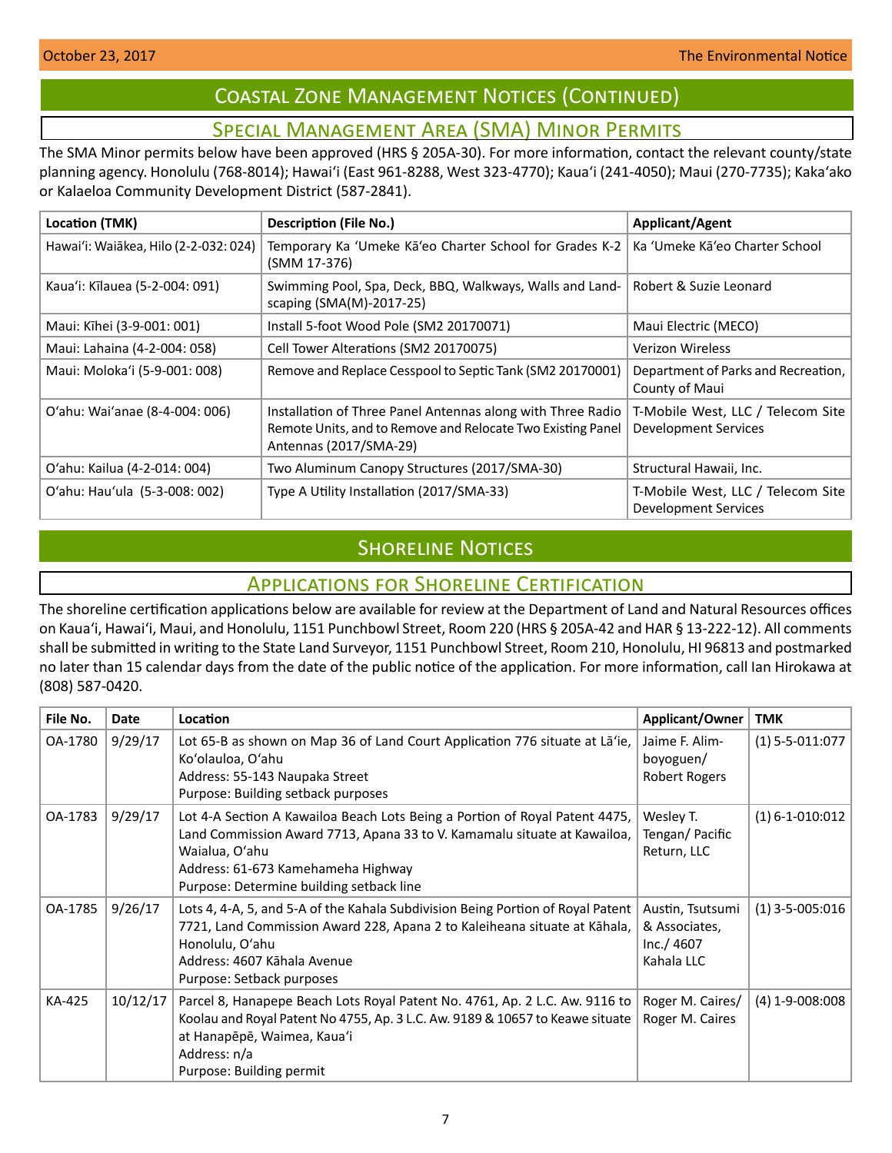# Coastal Zone Management Notices (Continued)

# Special Management Area (SMA) Minor Permits

<span id="page-6-0"></span>The SMA Minor permits below have been approved (HRS § 205A-30). For more information, contact the relevant county/state planning agency. Honolulu (768-8014); Hawaiʻi (East 961-8288, West 323-4770); Kauaʻi (241-4050); Maui (270-7735); Kakaʻako or Kalaeloa Community Development District (587-2841).

| Location (TMK)                        | <b>Description (File No.)</b>                                                                                                                        | <b>Applicant/Agent</b>                                           |
|---------------------------------------|------------------------------------------------------------------------------------------------------------------------------------------------------|------------------------------------------------------------------|
| Hawai'i: Waiākea, Hilo (2-2-032: 024) | Temporary Ka 'Umeke Kā'eo Charter School for Grades K-2<br>(SMM 17-376)                                                                              | Ka 'Umeke Kā'eo Charter School                                   |
| Kaua'i: Kīlauea (5-2-004: 091)        | Swimming Pool, Spa, Deck, BBQ, Walkways, Walls and Land-<br>scaping (SMA(M)-2017-25)                                                                 | Robert & Suzie Leonard                                           |
| Maui: Kīhei (3-9-001: 001)            | Install 5-foot Wood Pole (SM2 20170071)                                                                                                              | Maui Electric (MECO)                                             |
| Maui: Lahaina (4-2-004: 058)          | Cell Tower Alterations (SM2 20170075)                                                                                                                | <b>Verizon Wireless</b>                                          |
| Maui: Moloka'i (5-9-001: 008)         | Remove and Replace Cesspool to Septic Tank (SM2 20170001)                                                                                            | Department of Parks and Recreation,<br>County of Maui            |
| O'ahu: Wai'anae (8-4-004: 006)        | Installation of Three Panel Antennas along with Three Radio<br>Remote Units, and to Remove and Relocate Two Existing Panel<br>Antennas (2017/SMA-29) | T-Mobile West, LLC / Telecom Site<br>Development Services        |
| O'ahu: Kailua (4-2-014: 004)          | Two Aluminum Canopy Structures (2017/SMA-30)                                                                                                         | Structural Hawaii, Inc.                                          |
| O'ahu: Hau'ula (5-3-008: 002)         | Type A Utility Installation (2017/SMA-33)                                                                                                            | T-Mobile West, LLC / Telecom Site<br><b>Development Services</b> |

# **SHORELINE NOTICES**

# Applications for Shoreline Certification

The shoreline certification applications below are available for review at the Department of Land and Natural Resources offices on Kauaʻi, Hawaiʻi, Maui, and Honolulu, 1151 Punchbowl Street, Room 220 (HRS § 205A-42 and HAR § 13-222-12). All comments shall be submitted in writing to the State Land Surveyor, 1151 Punchbowl Street, Room 210, Honolulu, HI 96813 and postmarked no later than 15 calendar days from the date of the public notice of the application. For more information, call Ian Hirokawa at (808) 587-0420.

| File No. | <b>Date</b> | <b>Location</b>                                                                                                                                                                                                                                             | Applicant/Owner                                               | <b>TMK</b>            |
|----------|-------------|-------------------------------------------------------------------------------------------------------------------------------------------------------------------------------------------------------------------------------------------------------------|---------------------------------------------------------------|-----------------------|
| OA-1780  | 9/29/17     | Lot 65-B as shown on Map 36 of Land Court Application 776 situate at La'ie,<br>Ko'olauloa, O'ahu<br>Address: 55-143 Naupaka Street<br>Purpose: Building setback purposes                                                                                    | Jaime F. Alim-<br>boyoguen/<br>Robert Rogers                  | $(1)$ 5-5-011:077     |
| OA-1783  | 9/29/17     | Lot 4-A Section A Kawailoa Beach Lots Being a Portion of Royal Patent 4475,<br>Land Commission Award 7713, Apana 33 to V. Kamamalu situate at Kawailoa,<br>Waialua, O'ahu<br>Address: 61-673 Kamehameha Highway<br>Purpose: Determine building setback line | Wesley T.<br>Tengan/ Pacific<br>Return, LLC                   | $(1) 6 - 1 - 010:012$ |
| OA-1785  | 9/26/17     | Lots 4, 4-A, 5, and 5-A of the Kahala Subdivision Being Portion of Royal Patent<br>7721, Land Commission Award 228, Apana 2 to Kaleiheana situate at Kāhala,<br>Honolulu, O'ahu<br>Address: 4607 Kāhala Avenue<br>Purpose: Setback purposes                 | Austin, Tsutsumi<br>& Associates,<br>Inc./ 4607<br>Kahala LLC | $(1)$ 3-5-005:016     |
| KA-425   | 10/12/17    | Parcel 8, Hanapepe Beach Lots Royal Patent No. 4761, Ap. 2 L.C. Aw. 9116 to<br>Koolau and Royal Patent No 4755, Ap. 3 L.C. Aw. 9189 & 10657 to Keawe situate<br>at Hanapēpē, Waimea, Kaua'i<br>Address: n/a<br>Purpose: Building permit                     | Roger M. Caires/<br>Roger M. Caires                           | $(4)$ 1-9-008:008     |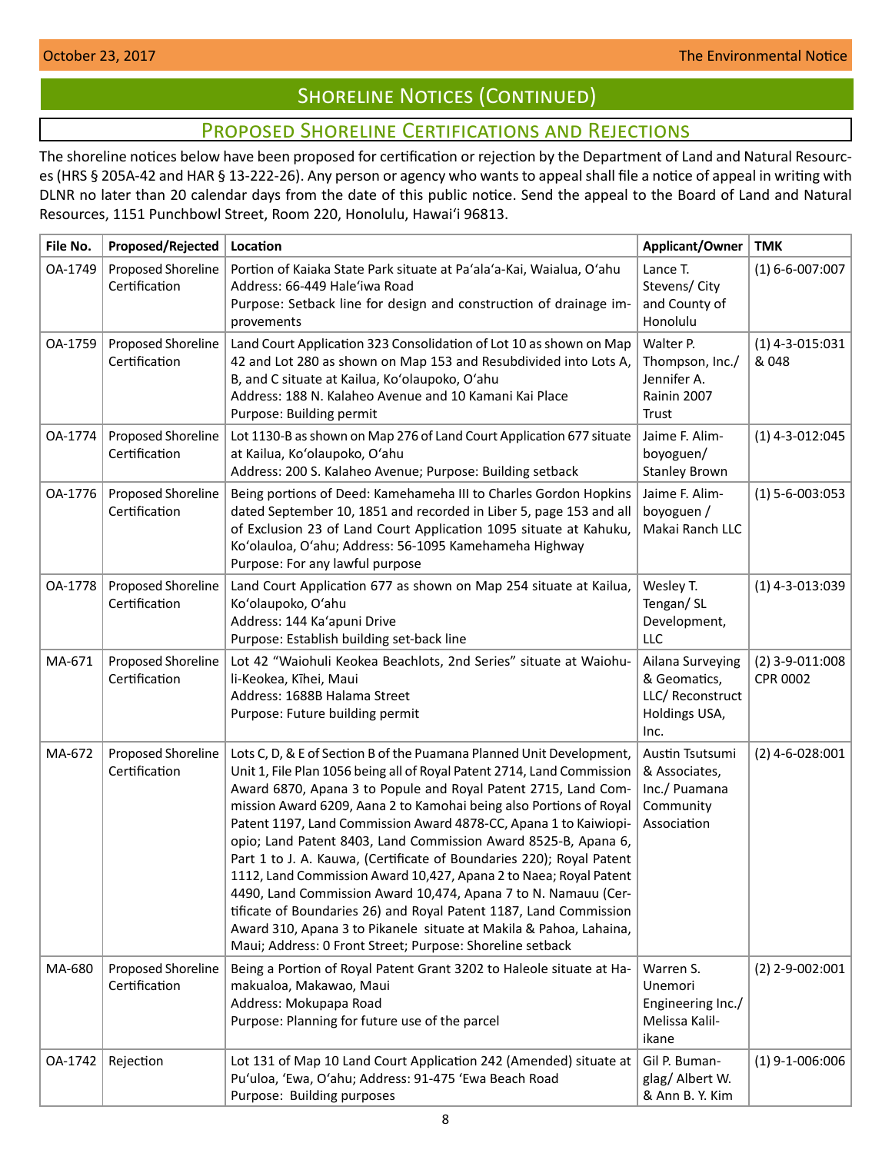# **SHORELINE NOTICES (CONTINUED)**

# Proposed Shoreline Certifications and Rejections

<span id="page-7-0"></span>The shoreline notices below have been proposed for certification or rejection by the Department of Land and Natural Resources (HRS § 205A-42 and HAR § 13-222-26). Any person or agency who wants to appeal shall file a notice of appeal in writing with DLNR no later than 20 calendar days from the date of this public notice. Send the appeal to the Board of Land and Natural Resources, 1151 Punchbowl Street, Room 220, Honolulu, Hawai'i 96813.

| File No. | Proposed/Rejected                   | Location                                                                                                                                                                                                                                                                                                                                                                                                                                                                                                                                                                                                                                                                                                                                                                                                                                            | Applicant/Owner                                                               | <b>TMK</b>                    |
|----------|-------------------------------------|-----------------------------------------------------------------------------------------------------------------------------------------------------------------------------------------------------------------------------------------------------------------------------------------------------------------------------------------------------------------------------------------------------------------------------------------------------------------------------------------------------------------------------------------------------------------------------------------------------------------------------------------------------------------------------------------------------------------------------------------------------------------------------------------------------------------------------------------------------|-------------------------------------------------------------------------------|-------------------------------|
| OA-1749  | Proposed Shoreline<br>Certification | Portion of Kaiaka State Park situate at Pa'ala'a-Kai, Waialua, O'ahu<br>Address: 66-449 Hale'iwa Road<br>Purpose: Setback line for design and construction of drainage im-<br>provements                                                                                                                                                                                                                                                                                                                                                                                                                                                                                                                                                                                                                                                            | Lance T.<br>Stevens/ City<br>and County of<br>Honolulu                        | $(1) 6 - 6 - 007:007$         |
| OA-1759  | Proposed Shoreline<br>Certification | Land Court Application 323 Consolidation of Lot 10 as shown on Map<br>42 and Lot 280 as shown on Map 153 and Resubdivided into Lots A,<br>B, and C situate at Kailua, Ko'olaupoko, O'ahu<br>Address: 188 N. Kalaheo Avenue and 10 Kamani Kai Place<br>Purpose: Building permit                                                                                                                                                                                                                                                                                                                                                                                                                                                                                                                                                                      | Walter P.<br>Thompson, Inc./<br>Jennifer A.<br>Rainin 2007<br>Trust           | $(1)$ 4-3-015:031<br>& 048    |
| OA-1774  | Proposed Shoreline<br>Certification | Lot 1130-B as shown on Map 276 of Land Court Application 677 situate<br>at Kailua, Ko'olaupoko, O'ahu<br>Address: 200 S. Kalaheo Avenue; Purpose: Building setback                                                                                                                                                                                                                                                                                                                                                                                                                                                                                                                                                                                                                                                                                  | Jaime F. Alim-<br>boyoguen/<br><b>Stanley Brown</b>                           | $(1)$ 4-3-012:045             |
| OA-1776  | Proposed Shoreline<br>Certification | Being portions of Deed: Kamehameha III to Charles Gordon Hopkins<br>dated September 10, 1851 and recorded in Liber 5, page 153 and all<br>of Exclusion 23 of Land Court Application 1095 situate at Kahuku,<br>Ko'olauloa, O'ahu; Address: 56-1095 Kamehameha Highway<br>Purpose: For any lawful purpose                                                                                                                                                                                                                                                                                                                                                                                                                                                                                                                                            | Jaime F. Alim-<br>boyoguen /<br>Makai Ranch LLC                               | $(1) 5 - 6 - 003:053$         |
| OA-1778  | Proposed Shoreline<br>Certification | Land Court Application 677 as shown on Map 254 situate at Kailua,<br>Ko'olaupoko, O'ahu<br>Address: 144 Ka'apuni Drive<br>Purpose: Establish building set-back line                                                                                                                                                                                                                                                                                                                                                                                                                                                                                                                                                                                                                                                                                 | Wesley T.<br>Tengan/SL<br>Development,<br>LLC                                 | $(1)$ 4-3-013:039             |
| MA-671   | Proposed Shoreline<br>Certification | Lot 42 "Waiohuli Keokea Beachlots, 2nd Series" situate at Waiohu-<br>li-Keokea, Kīhei, Maui<br>Address: 1688B Halama Street<br>Purpose: Future building permit                                                                                                                                                                                                                                                                                                                                                                                                                                                                                                                                                                                                                                                                                      | Ailana Surveying<br>& Geomatics,<br>LLC/Reconstruct<br>Holdings USA,<br>Inc.  | $(2)$ 3-9-011:008<br>CPR 0002 |
| MA-672   | Proposed Shoreline<br>Certification | Lots C, D, & E of Section B of the Puamana Planned Unit Development,<br>Unit 1, File Plan 1056 being all of Royal Patent 2714, Land Commission<br>Award 6870, Apana 3 to Popule and Royal Patent 2715, Land Com-<br>mission Award 6209, Aana 2 to Kamohai being also Portions of Royal<br>Patent 1197, Land Commission Award 4878-CC, Apana 1 to Kaiwiopi-<br>opio; Land Patent 8403, Land Commission Award 8525-B, Apana 6,<br>Part 1 to J. A. Kauwa, (Certificate of Boundaries 220); Royal Patent<br>1112, Land Commission Award 10,427, Apana 2 to Naea; Royal Patent<br>4490, Land Commission Award 10,474, Apana 7 to N. Namauu (Cer-<br>tificate of Boundaries 26) and Royal Patent 1187, Land Commission<br>Award 310, Apana 3 to Pikanele situate at Makila & Pahoa, Lahaina,<br>Maui; Address: 0 Front Street; Purpose: Shoreline setback | Austin Tsutsumi<br>& Associates,<br>Inc./ Puamana<br>Community<br>Association | $(2)$ 4-6-028:001             |
| MA-680   | Proposed Shoreline<br>Certification | Being a Portion of Royal Patent Grant 3202 to Haleole situate at Ha-<br>makualoa, Makawao, Maui<br>Address: Mokupapa Road<br>Purpose: Planning for future use of the parcel                                                                                                                                                                                                                                                                                                                                                                                                                                                                                                                                                                                                                                                                         | Warren S.<br>Unemori<br>Engineering Inc./<br>Melissa Kalil-<br>ikane          | $(2)$ 2-9-002:001             |
| OA-1742  | Rejection                           | Lot 131 of Map 10 Land Court Application 242 (Amended) situate at<br>Pu'uloa, 'Ewa, O'ahu; Address: 91-475 'Ewa Beach Road<br>Purpose: Building purposes                                                                                                                                                                                                                                                                                                                                                                                                                                                                                                                                                                                                                                                                                            | Gil P. Buman-<br>glag/ Albert W.<br>& Ann B. Y. Kim                           | $(1)$ 9-1-006:006             |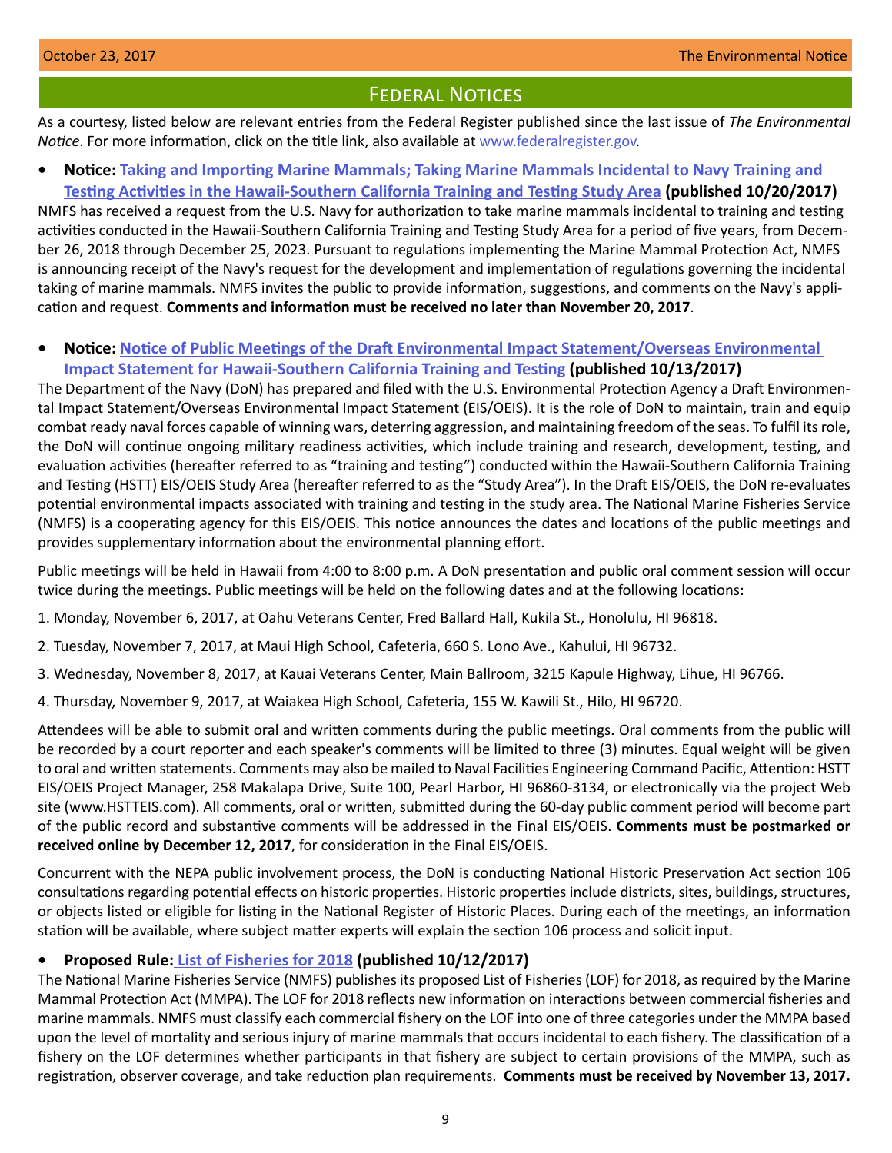# **FEDERAL NOTICES**

<span id="page-8-0"></span>As a courtesy, listed below are relevant entries from the Federal Register published since the last issue of *The Environmental Notice*. For more information, click on the title link, also available at [www.federalregister.gov.](http://www.federalregister.gov)

**• Notice: [Taking and Importing Marine Mammals; Taking Marine Mammals Incidental to Navy Training and](https://www.federalregister.gov/documents/2017/10/20/2017-22733/taking-and-importing-marine-mammals-taking-marine-mammals-incidental-to-us-navy-training-and-testing)  [Testing Activities in the Hawaii-Southern California Training and Testing Study Area](https://www.federalregister.gov/documents/2017/10/20/2017-22733/taking-and-importing-marine-mammals-taking-marine-mammals-incidental-to-us-navy-training-and-testing) (published 10/20/2017)**

NMFS has received a request from the U.S. Navy for authorization to take marine mammals incidental to training and testing activities conducted in the Hawaii-Southern California Training and Testing Study Area for a period of five years, from December 26, 2018 through December 25, 2023. Pursuant to regulations implementing the Marine Mammal Protection Act, NMFS is announcing receipt of the Navy's request for the development and implementation of regulations governing the incidental taking of marine mammals. NMFS invites the public to provide information, suggestions, and comments on the Navy's application and request. **Comments and information must be received no later than November 20, 2017**.

**• Notice: [Notice of Public Meetings of the Draft Environmental Impact Statement/Overseas Environmental](https://www.federalregister.gov/documents/2017/10/13/2017-22195/notice-of-public-meetings-of-the-draft-environmental-impact-statementoverseas-environmental-impact)  [Impact Statement for Hawaii-Southern California Training and Testing](https://www.federalregister.gov/documents/2017/10/13/2017-22195/notice-of-public-meetings-of-the-draft-environmental-impact-statementoverseas-environmental-impact) (published 10/13/2017)**

The Department of the Navy (DoN) has prepared and filed with the U.S. Environmental Protection Agency a Draft Environmental Impact Statement/Overseas Environmental Impact Statement (EIS/OEIS). It is the role of DoN to maintain, train and equip combat ready naval forces capable of winning wars, deterring aggression, and maintaining freedom of the seas. To fulfil its role, the DoN will continue ongoing military readiness activities, which include training and research, development, testing, and evaluation activities (hereafter referred to as "training and testing") conducted within the Hawaii-Southern California Training and Testing (HSTT) EIS/OEIS Study Area (hereafter referred to as the "Study Area"). In the Draft EIS/OEIS, the DoN re-evaluates potential environmental impacts associated with training and testing in the study area. The National Marine Fisheries Service (NMFS) is a cooperating agency for this EIS/OEIS. This notice announces the dates and locations of the public meetings and provides supplementary information about the environmental planning effort.

Public meetings will be held in Hawaii from 4:00 to 8:00 p.m. A DoN presentation and public oral comment session will occur twice during the meetings. Public meetings will be held on the following dates and at the following locations:

- 1. Monday, November 6, 2017, at Oahu Veterans Center, Fred Ballard Hall, Kukila St., Honolulu, HI 96818.
- 2. Tuesday, November 7, 2017, at Maui High School, Cafeteria, 660 S. Lono Ave., Kahului, HI 96732.
- 3. Wednesday, November 8, 2017, at Kauai Veterans Center, Main Ballroom, 3215 Kapule Highway, Lihue, HI 96766.
- 4. Thursday, November 9, 2017, at Waiakea High School, Cafeteria, 155 W. Kawili St., Hilo, HI 96720.

Attendees will be able to submit oral and written comments during the public meetings. Oral comments from the public will be recorded by a court reporter and each speaker's comments will be limited to three (3) minutes. Equal weight will be given to oral and written statements. Comments may also be mailed to Naval Facilities Engineering Command Pacific, Attention: HSTT EIS/OEIS Project Manager, 258 Makalapa Drive, Suite 100, Pearl Harbor, HI 96860-3134, or electronically via the project Web site (www.HSTTEIS.com). All comments, oral or written, submitted during the 60-day public comment period will become part of the public record and substantive comments will be addressed in the Final EIS/OEIS. **Comments must be postmarked or received online by December 12, 2017**, for consideration in the Final EIS/OEIS.

Concurrent with the NEPA public involvement process, the DoN is conducting National Historic Preservation Act section 106 consultations regarding potential effects on historic properties. Historic properties include districts, sites, buildings, structures, or objects listed or eligible for listing in the National Register of Historic Places. During each of the meetings, an information station will be available, where subject matter experts will explain the section 106 process and solicit input.

## **• Proposed Rule[: List of Fisheries for 2018](https://www.federalregister.gov/documents/2017/10/12/2017-21837/list-of-fisheries-for-2018) (published 10/12/2017)**

The National Marine Fisheries Service (NMFS) publishes its proposed List of Fisheries (LOF) for 2018, as required by the Marine Mammal Protection Act (MMPA). The LOF for 2018 reflects new information on interactions between commercial fisheries and marine mammals. NMFS must classify each commercial fishery on the LOF into one of three categories under the MMPA based upon the level of mortality and serious injury of marine mammals that occurs incidental to each fishery. The classification of a fishery on the LOF determines whether participants in that fishery are subject to certain provisions of the MMPA, such as registration, observer coverage, and take reduction plan requirements. **Comments must be received by November 13, 2017.**